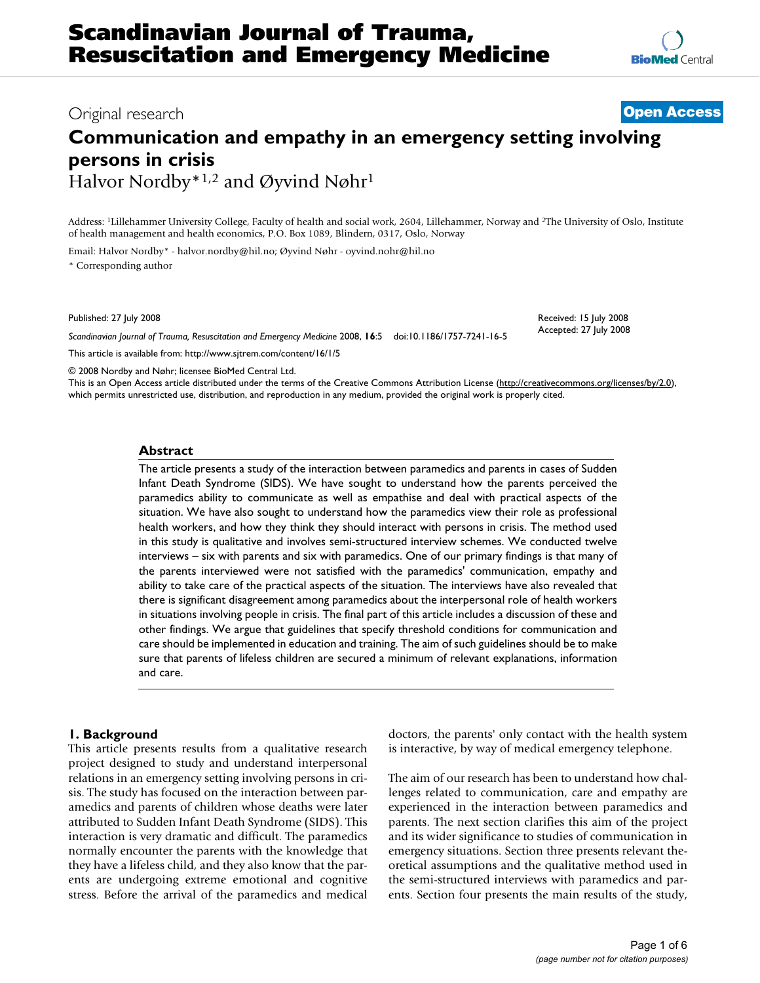# Original research **[Open Access](http://www.biomedcentral.com/info/about/charter/)**

# **Communication and empathy in an emergency setting involving persons in crisis**

Halvor Nordby\*1,2 and Øyvind Nøhr1

Address: 1Lillehammer University College, Faculty of health and social work, 2604, Lillehammer, Norway and 2The University of Oslo, Institute of health management and health economics, P.O. Box 1089, Blindern, 0317, Oslo, Norway

Email: Halvor Nordby\* - halvor.nordby@hil.no; Øyvind Nøhr - oyvind.nohr@hil.no

\* Corresponding author

Published: 27 July 2008

*Scandinavian Journal of Trauma, Resuscitation and Emergency Medicine* 2008, **16**:5 doi:10.1186/1757-7241-16-5

[This article is available from: http://www.sjtrem.com/content/16/1/5](http://www.sjtrem.com/content/16/1/5)

© 2008 Nordby and Nøhr; licensee BioMed Central Ltd.

This is an Open Access article distributed under the terms of the Creative Commons Attribution License [\(http://creativecommons.org/licenses/by/2.0\)](http://creativecommons.org/licenses/by/2.0), which permits unrestricted use, distribution, and reproduction in any medium, provided the original work is properly cited.

#### **Abstract**

The article presents a study of the interaction between paramedics and parents in cases of Sudden Infant Death Syndrome (SIDS). We have sought to understand how the parents perceived the paramedics ability to communicate as well as empathise and deal with practical aspects of the situation. We have also sought to understand how the paramedics view their role as professional health workers, and how they think they should interact with persons in crisis. The method used in this study is qualitative and involves semi-structured interview schemes. We conducted twelve interviews – six with parents and six with paramedics. One of our primary findings is that many of the parents interviewed were not satisfied with the paramedics' communication, empathy and ability to take care of the practical aspects of the situation. The interviews have also revealed that there is significant disagreement among paramedics about the interpersonal role of health workers in situations involving people in crisis. The final part of this article includes a discussion of these and other findings. We argue that guidelines that specify threshold conditions for communication and care should be implemented in education and training. The aim of such guidelines should be to make sure that parents of lifeless children are secured a minimum of relevant explanations, information and care.

#### **1. Background**

This article presents results from a qualitative research project designed to study and understand interpersonal relations in an emergency setting involving persons in crisis. The study has focused on the interaction between paramedics and parents of children whose deaths were later attributed to Sudden Infant Death Syndrome (SIDS). This interaction is very dramatic and difficult. The paramedics normally encounter the parents with the knowledge that they have a lifeless child, and they also know that the parents are undergoing extreme emotional and cognitive stress. Before the arrival of the paramedics and medical doctors, the parents' only contact with the health system is interactive, by way of medical emergency telephone.

Received: 15 July 2008 Accepted: 27 July 2008

The aim of our research has been to understand how challenges related to communication, care and empathy are experienced in the interaction between paramedics and parents. The next section clarifies this aim of the project and its wider significance to studies of communication in emergency situations. Section three presents relevant theoretical assumptions and the qualitative method used in the semi-structured interviews with paramedics and parents. Section four presents the main results of the study,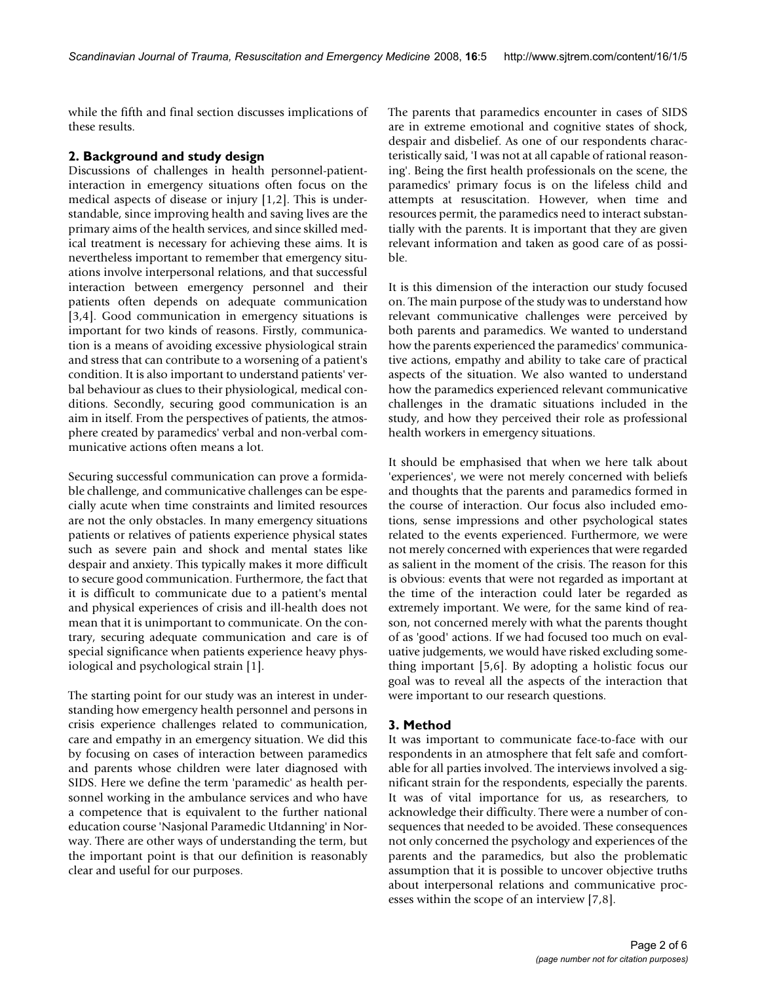while the fifth and final section discusses implications of these results.

### **2. Background and study design**

Discussions of challenges in health personnel-patientinteraction in emergency situations often focus on the medical aspects of disease or injury [1,2]. This is understandable, since improving health and saving lives are the primary aims of the health services, and since skilled medical treatment is necessary for achieving these aims. It is nevertheless important to remember that emergency situations involve interpersonal relations, and that successful interaction between emergency personnel and their patients often depends on adequate communication [3,4]. Good communication in emergency situations is important for two kinds of reasons. Firstly, communication is a means of avoiding excessive physiological strain and stress that can contribute to a worsening of a patient's condition. It is also important to understand patients' verbal behaviour as clues to their physiological, medical conditions. Secondly, securing good communication is an aim in itself. From the perspectives of patients, the atmosphere created by paramedics' verbal and non-verbal communicative actions often means a lot.

Securing successful communication can prove a formidable challenge, and communicative challenges can be especially acute when time constraints and limited resources are not the only obstacles. In many emergency situations patients or relatives of patients experience physical states such as severe pain and shock and mental states like despair and anxiety. This typically makes it more difficult to secure good communication. Furthermore, the fact that it is difficult to communicate due to a patient's mental and physical experiences of crisis and ill-health does not mean that it is unimportant to communicate. On the contrary, securing adequate communication and care is of special significance when patients experience heavy physiological and psychological strain [1].

The starting point for our study was an interest in understanding how emergency health personnel and persons in crisis experience challenges related to communication, care and empathy in an emergency situation. We did this by focusing on cases of interaction between paramedics and parents whose children were later diagnosed with SIDS. Here we define the term 'paramedic' as health personnel working in the ambulance services and who have a competence that is equivalent to the further national education course 'Nasjonal Paramedic Utdanning' in Norway. There are other ways of understanding the term, but the important point is that our definition is reasonably clear and useful for our purposes.

The parents that paramedics encounter in cases of SIDS are in extreme emotional and cognitive states of shock, despair and disbelief. As one of our respondents characteristically said, 'I was not at all capable of rational reasoning'. Being the first health professionals on the scene, the paramedics' primary focus is on the lifeless child and attempts at resuscitation. However, when time and resources permit, the paramedics need to interact substantially with the parents. It is important that they are given relevant information and taken as good care of as possible.

It is this dimension of the interaction our study focused on. The main purpose of the study was to understand how relevant communicative challenges were perceived by both parents and paramedics. We wanted to understand how the parents experienced the paramedics' communicative actions, empathy and ability to take care of practical aspects of the situation. We also wanted to understand how the paramedics experienced relevant communicative challenges in the dramatic situations included in the study, and how they perceived their role as professional health workers in emergency situations.

It should be emphasised that when we here talk about 'experiences', we were not merely concerned with beliefs and thoughts that the parents and paramedics formed in the course of interaction. Our focus also included emotions, sense impressions and other psychological states related to the events experienced. Furthermore, we were not merely concerned with experiences that were regarded as salient in the moment of the crisis. The reason for this is obvious: events that were not regarded as important at the time of the interaction could later be regarded as extremely important. We were, for the same kind of reason, not concerned merely with what the parents thought of as 'good' actions. If we had focused too much on evaluative judgements, we would have risked excluding something important [5,6]. By adopting a holistic focus our goal was to reveal all the aspects of the interaction that were important to our research questions.

# **3. Method**

It was important to communicate face-to-face with our respondents in an atmosphere that felt safe and comfortable for all parties involved. The interviews involved a significant strain for the respondents, especially the parents. It was of vital importance for us, as researchers, to acknowledge their difficulty. There were a number of consequences that needed to be avoided. These consequences not only concerned the psychology and experiences of the parents and the paramedics, but also the problematic assumption that it is possible to uncover objective truths about interpersonal relations and communicative processes within the scope of an interview [7,8].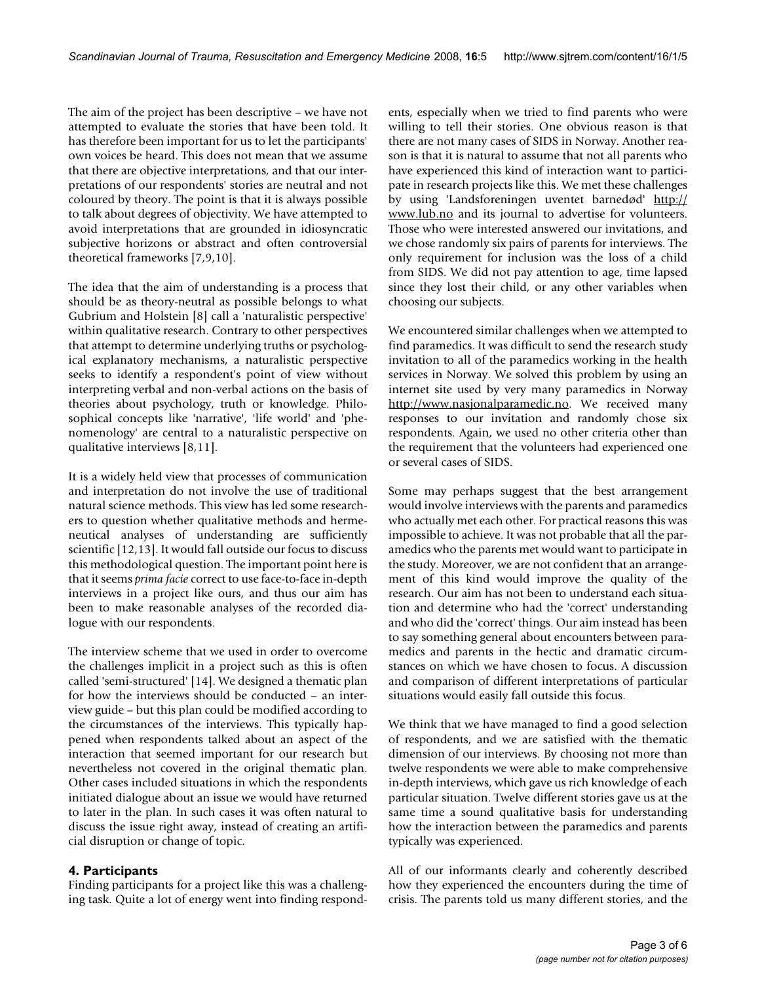The aim of the project has been descriptive – we have not attempted to evaluate the stories that have been told. It has therefore been important for us to let the participants' own voices be heard. This does not mean that we assume that there are objective interpretations, and that our interpretations of our respondents' stories are neutral and not coloured by theory. The point is that it is always possible to talk about degrees of objectivity. We have attempted to avoid interpretations that are grounded in idiosyncratic subjective horizons or abstract and often controversial theoretical frameworks [7,9,10].

The idea that the aim of understanding is a process that should be as theory-neutral as possible belongs to what Gubrium and Holstein [8] call a 'naturalistic perspective' within qualitative research. Contrary to other perspectives that attempt to determine underlying truths or psychological explanatory mechanisms, a naturalistic perspective seeks to identify a respondent's point of view without interpreting verbal and non-verbal actions on the basis of theories about psychology, truth or knowledge. Philosophical concepts like 'narrative', 'life world' and 'phenomenology' are central to a naturalistic perspective on qualitative interviews [8,11].

It is a widely held view that processes of communication and interpretation do not involve the use of traditional natural science methods. This view has led some researchers to question whether qualitative methods and hermeneutical analyses of understanding are sufficiently scientific [12,13]. It would fall outside our focus to discuss this methodological question. The important point here is that it seems *prima facie* correct to use face-to-face in-depth interviews in a project like ours, and thus our aim has been to make reasonable analyses of the recorded dialogue with our respondents.

The interview scheme that we used in order to overcome the challenges implicit in a project such as this is often called 'semi-structured' [14]. We designed a thematic plan for how the interviews should be conducted – an interview guide – but this plan could be modified according to the circumstances of the interviews. This typically happened when respondents talked about an aspect of the interaction that seemed important for our research but nevertheless not covered in the original thematic plan. Other cases included situations in which the respondents initiated dialogue about an issue we would have returned to later in the plan. In such cases it was often natural to discuss the issue right away, instead of creating an artificial disruption or change of topic.

# **4. Participants**

Finding participants for a project like this was a challenging task. Quite a lot of energy went into finding respondents, especially when we tried to find parents who were willing to tell their stories. One obvious reason is that there are not many cases of SIDS in Norway. Another reason is that it is natural to assume that not all parents who have experienced this kind of interaction want to participate in research projects like this. We met these challenges by using 'Landsforeningen uventet barnedød' [http://](http://www.lub.no) [www.lub.no](http://www.lub.no) and its journal to advertise for volunteers. Those who were interested answered our invitations, and we chose randomly six pairs of parents for interviews. The only requirement for inclusion was the loss of a child from SIDS. We did not pay attention to age, time lapsed since they lost their child, or any other variables when choosing our subjects.

We encountered similar challenges when we attempted to find paramedics. It was difficult to send the research study invitation to all of the paramedics working in the health services in Norway. We solved this problem by using an internet site used by very many paramedics in Norway <http://www.nasjonalparamedic.no>. We received many responses to our invitation and randomly chose six respondents. Again, we used no other criteria other than the requirement that the volunteers had experienced one or several cases of SIDS.

Some may perhaps suggest that the best arrangement would involve interviews with the parents and paramedics who actually met each other. For practical reasons this was impossible to achieve. It was not probable that all the paramedics who the parents met would want to participate in the study. Moreover, we are not confident that an arrangement of this kind would improve the quality of the research. Our aim has not been to understand each situation and determine who had the 'correct' understanding and who did the 'correct' things. Our aim instead has been to say something general about encounters between paramedics and parents in the hectic and dramatic circumstances on which we have chosen to focus. A discussion and comparison of different interpretations of particular situations would easily fall outside this focus.

We think that we have managed to find a good selection of respondents, and we are satisfied with the thematic dimension of our interviews. By choosing not more than twelve respondents we were able to make comprehensive in-depth interviews, which gave us rich knowledge of each particular situation. Twelve different stories gave us at the same time a sound qualitative basis for understanding how the interaction between the paramedics and parents typically was experienced.

All of our informants clearly and coherently described how they experienced the encounters during the time of crisis. The parents told us many different stories, and the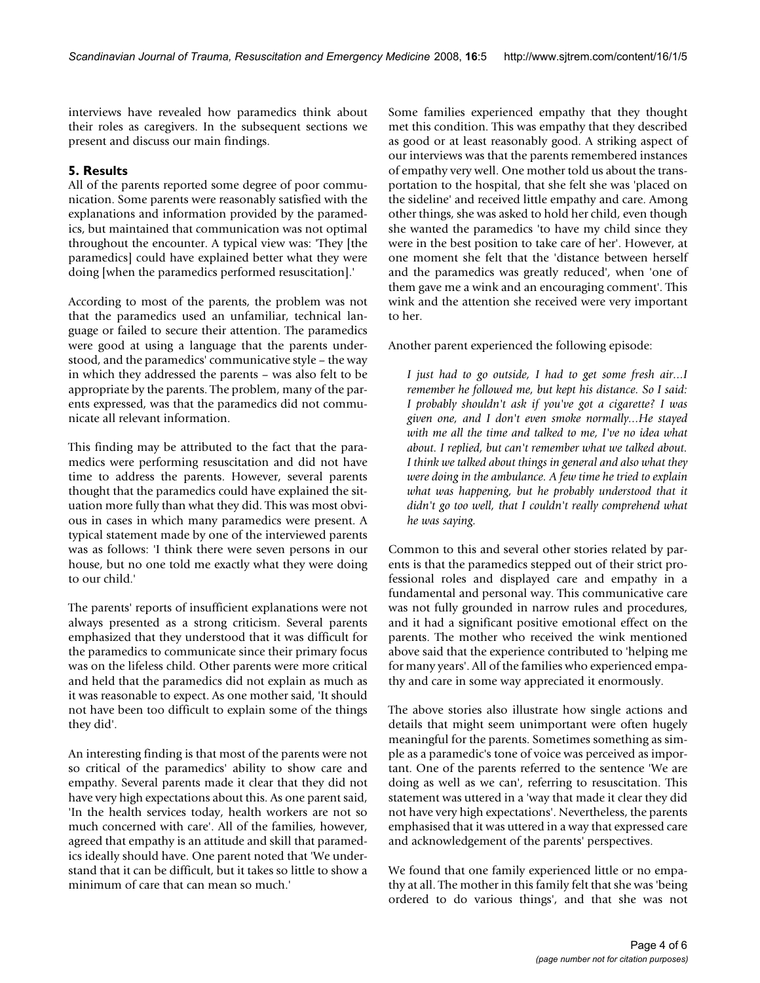interviews have revealed how paramedics think about their roles as caregivers. In the subsequent sections we present and discuss our main findings.

## **5. Results**

All of the parents reported some degree of poor communication. Some parents were reasonably satisfied with the explanations and information provided by the paramedics, but maintained that communication was not optimal throughout the encounter. A typical view was: 'They [the paramedics] could have explained better what they were doing [when the paramedics performed resuscitation].'

According to most of the parents, the problem was not that the paramedics used an unfamiliar, technical language or failed to secure their attention. The paramedics were good at using a language that the parents understood, and the paramedics' communicative style – the way in which they addressed the parents – was also felt to be appropriate by the parents. The problem, many of the parents expressed, was that the paramedics did not communicate all relevant information.

This finding may be attributed to the fact that the paramedics were performing resuscitation and did not have time to address the parents. However, several parents thought that the paramedics could have explained the situation more fully than what they did. This was most obvious in cases in which many paramedics were present. A typical statement made by one of the interviewed parents was as follows: 'I think there were seven persons in our house, but no one told me exactly what they were doing to our child.'

The parents' reports of insufficient explanations were not always presented as a strong criticism. Several parents emphasized that they understood that it was difficult for the paramedics to communicate since their primary focus was on the lifeless child. Other parents were more critical and held that the paramedics did not explain as much as it was reasonable to expect. As one mother said, 'It should not have been too difficult to explain some of the things they did'.

An interesting finding is that most of the parents were not so critical of the paramedics' ability to show care and empathy. Several parents made it clear that they did not have very high expectations about this. As one parent said, 'In the health services today, health workers are not so much concerned with care'. All of the families, however, agreed that empathy is an attitude and skill that paramedics ideally should have. One parent noted that 'We understand that it can be difficult, but it takes so little to show a minimum of care that can mean so much.'

Some families experienced empathy that they thought met this condition. This was empathy that they described as good or at least reasonably good. A striking aspect of our interviews was that the parents remembered instances of empathy very well. One mother told us about the transportation to the hospital, that she felt she was 'placed on the sideline' and received little empathy and care. Among other things, she was asked to hold her child, even though she wanted the paramedics 'to have my child since they were in the best position to take care of her'. However, at one moment she felt that the 'distance between herself and the paramedics was greatly reduced', when 'one of them gave me a wink and an encouraging comment'. This wink and the attention she received were very important to her.

Another parent experienced the following episode:

*I just had to go outside, I had to get some fresh air...I remember he followed me, but kept his distance. So I said: I probably shouldn't ask if you've got a cigarette? I was given one, and I don't even smoke normally...He stayed with me all the time and talked to me, I've no idea what about. I replied, but can't remember what we talked about. I think we talked about things in general and also what they were doing in the ambulance. A few time he tried to explain what was happening, but he probably understood that it didn't go too well, that I couldn't really comprehend what he was saying.*

Common to this and several other stories related by parents is that the paramedics stepped out of their strict professional roles and displayed care and empathy in a fundamental and personal way. This communicative care was not fully grounded in narrow rules and procedures, and it had a significant positive emotional effect on the parents. The mother who received the wink mentioned above said that the experience contributed to 'helping me for many years'. All of the families who experienced empathy and care in some way appreciated it enormously.

The above stories also illustrate how single actions and details that might seem unimportant were often hugely meaningful for the parents. Sometimes something as simple as a paramedic's tone of voice was perceived as important. One of the parents referred to the sentence 'We are doing as well as we can', referring to resuscitation. This statement was uttered in a 'way that made it clear they did not have very high expectations'. Nevertheless, the parents emphasised that it was uttered in a way that expressed care and acknowledgement of the parents' perspectives.

We found that one family experienced little or no empathy at all. The mother in this family felt that she was 'being ordered to do various things', and that she was not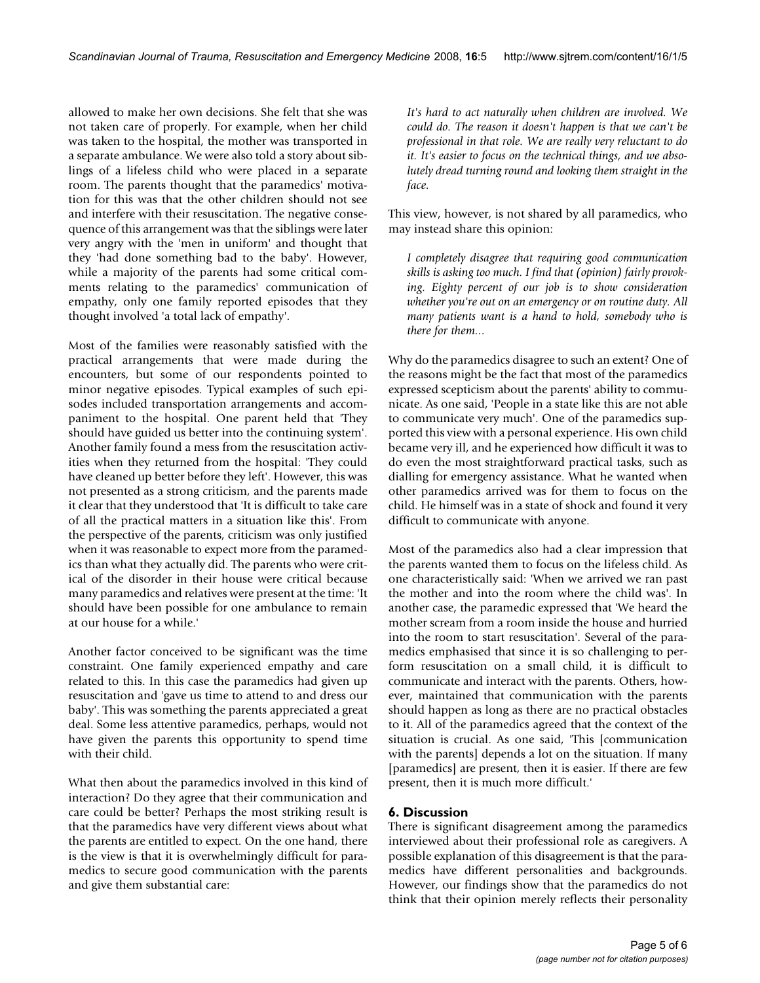allowed to make her own decisions. She felt that she was not taken care of properly. For example, when her child was taken to the hospital, the mother was transported in a separate ambulance. We were also told a story about siblings of a lifeless child who were placed in a separate room. The parents thought that the paramedics' motivation for this was that the other children should not see and interfere with their resuscitation. The negative consequence of this arrangement was that the siblings were later very angry with the 'men in uniform' and thought that they 'had done something bad to the baby'. However, while a majority of the parents had some critical comments relating to the paramedics' communication of empathy, only one family reported episodes that they thought involved 'a total lack of empathy'.

Most of the families were reasonably satisfied with the practical arrangements that were made during the encounters, but some of our respondents pointed to minor negative episodes. Typical examples of such episodes included transportation arrangements and accompaniment to the hospital. One parent held that 'They should have guided us better into the continuing system'. Another family found a mess from the resuscitation activities when they returned from the hospital: 'They could have cleaned up better before they left'. However, this was not presented as a strong criticism, and the parents made it clear that they understood that 'It is difficult to take care of all the practical matters in a situation like this'. From the perspective of the parents, criticism was only justified when it was reasonable to expect more from the paramedics than what they actually did. The parents who were critical of the disorder in their house were critical because many paramedics and relatives were present at the time: 'It should have been possible for one ambulance to remain at our house for a while.'

Another factor conceived to be significant was the time constraint. One family experienced empathy and care related to this. In this case the paramedics had given up resuscitation and 'gave us time to attend to and dress our baby'. This was something the parents appreciated a great deal. Some less attentive paramedics, perhaps, would not have given the parents this opportunity to spend time with their child.

What then about the paramedics involved in this kind of interaction? Do they agree that their communication and care could be better? Perhaps the most striking result is that the paramedics have very different views about what the parents are entitled to expect. On the one hand, there is the view is that it is overwhelmingly difficult for paramedics to secure good communication with the parents and give them substantial care:

*It's hard to act naturally when children are involved. We could do. The reason it doesn't happen is that we can't be professional in that role. We are really very reluctant to do it. It's easier to focus on the technical things, and we absolutely dread turning round and looking them straight in the face.*

This view, however, is not shared by all paramedics, who may instead share this opinion:

*I completely disagree that requiring good communication skills is asking too much. I find that (opinion) fairly provoking. Eighty percent of our job is to show consideration whether you're out on an emergency or on routine duty. All many patients want is a hand to hold, somebody who is there for them...*

Why do the paramedics disagree to such an extent? One of the reasons might be the fact that most of the paramedics expressed scepticism about the parents' ability to communicate. As one said, 'People in a state like this are not able to communicate very much'. One of the paramedics supported this view with a personal experience. His own child became very ill, and he experienced how difficult it was to do even the most straightforward practical tasks, such as dialling for emergency assistance. What he wanted when other paramedics arrived was for them to focus on the child. He himself was in a state of shock and found it very difficult to communicate with anyone.

Most of the paramedics also had a clear impression that the parents wanted them to focus on the lifeless child. As one characteristically said: 'When we arrived we ran past the mother and into the room where the child was'. In another case, the paramedic expressed that 'We heard the mother scream from a room inside the house and hurried into the room to start resuscitation'. Several of the paramedics emphasised that since it is so challenging to perform resuscitation on a small child, it is difficult to communicate and interact with the parents. Others, however, maintained that communication with the parents should happen as long as there are no practical obstacles to it. All of the paramedics agreed that the context of the situation is crucial. As one said, 'This [communication with the parents] depends a lot on the situation. If many [paramedics] are present, then it is easier. If there are few present, then it is much more difficult.'

# **6. Discussion**

There is significant disagreement among the paramedics interviewed about their professional role as caregivers. A possible explanation of this disagreement is that the paramedics have different personalities and backgrounds. However, our findings show that the paramedics do not think that their opinion merely reflects their personality